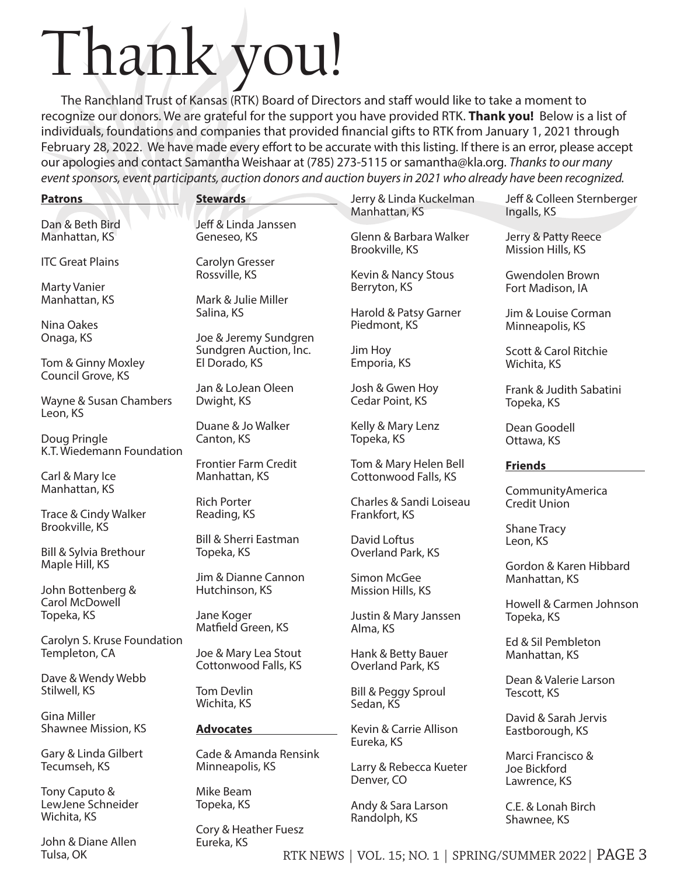## Thank you!

The Ranchland Trust of Kansas (RTK) Board of Directors and staff would like to take a moment to recognize our donors. We are grateful for the support you have provided RTK. **Thank you!** Below is a list of individuals, foundations and companies that provided financial gifts to RTK from January 1, 2021 through February 28, 2022. We have made every effort to be accurate with this listing. If there is an error, please accept our apologies and contact Samantha Weishaar at (785) 273-5115 or samantha@kla.org. *Thanks to our many event sponsors, event participants, auction donors and auction buyers in 2021 who already have been recognized.*

| <b>Patrons</b>                                    | <b>Stewards</b>                                 | Jerry & Linda Kuckelman<br>Manhattan, KS      | Jeff & Colleen Sternberger<br>Ingalls, KS         |
|---------------------------------------------------|-------------------------------------------------|-----------------------------------------------|---------------------------------------------------|
| Dan & Beth Bird                                   | Jeff & Linda Janssen                            | Glenn & Barbara Walker                        | Jerry & Patty Reece                               |
| Manhattan, KS                                     | Geneseo, KS                                     | Brookville, KS                                | Mission Hills, KS                                 |
| <b>ITC Great Plains</b>                           | Carolyn Gresser<br>Rossville, KS                | Kevin & Nancy Stous                           | Gwendolen Brown                                   |
| <b>Marty Vanier</b>                               | Mark & Julie Miller                             | Berryton, KS                                  | Fort Madison, IA                                  |
| Manhattan, KS                                     | Salina, KS                                      | Harold & Patsy Garner                         | Jim & Louise Corman                               |
| Nina Oakes<br>Onaga, KS                           | Joe & Jeremy Sundgren                           | Piedmont, KS                                  | Minneapolis, KS                                   |
| Tom & Ginny Moxley                                | Sundgren Auction, Inc.                          | Jim Hoy                                       | Scott & Carol Ritchie                             |
| Council Grove, KS                                 | El Dorado, KS                                   | Emporia, KS                                   | Wichita, KS                                       |
| Wayne & Susan Chambers                            | Jan & LoJean Oleen                              | Josh & Gwen Hoy                               | Frank & Judith Sabatini                           |
| Leon, KS                                          | Dwight, KS                                      | Cedar Point, KS                               | Topeka, KS                                        |
| Doug Pringle                                      | Duane & Jo Walker                               | Kelly & Mary Lenz                             | Dean Goodell                                      |
| K.T. Wiedemann Foundation                         | Canton, KS                                      | Topeka, KS                                    | Ottawa, KS                                        |
| Carl & Mary Ice                                   | <b>Frontier Farm Credit</b><br>Manhattan, KS    | Tom & Mary Helen Bell<br>Cottonwood Falls, KS | <b>Friends</b>                                    |
| Manhattan, KS                                     | <b>Rich Porter</b>                              | Charles & Sandi Loiseau                       | CommunityAmerica<br><b>Credit Union</b>           |
| Trace & Cindy Walker<br>Brookville, KS            | Reading, KS<br><b>Bill &amp; Sherri Eastman</b> | Frankfort, KS                                 | <b>Shane Tracy</b>                                |
| Bill & Sylvia Brethour                            | Topeka, KS                                      | David Loftus                                  | Leon, KS                                          |
| Maple Hill, KS                                    |                                                 | Overland Park, KS                             | Gordon & Karen Hibbard                            |
| John Bottenberg &                                 | Jim & Dianne Cannon<br>Hutchinson, KS           | Simon McGee<br>Mission Hills, KS              | Manhattan, KS                                     |
| Carol McDowell                                    | Jane Koger                                      | Justin & Mary Janssen                         | Howell & Carmen Johnson                           |
| Topeka, KS                                        | Matfield Green, KS                              | Alma, KS                                      | Topeka, KS                                        |
| Carolyn S. Kruse Foundation                       | Joe & Mary Lea Stout                            | Hank & Betty Bauer                            | Ed & Sil Pembleton                                |
| Templeton, CA                                     | Cottonwood Falls, KS                            | Overland Park, KS                             | Manhattan, KS                                     |
| Dave & Wendy Webb                                 | <b>Tom Devlin</b>                               | Bill & Peggy Sproul                           | Dean & Valerie Larson                             |
| Stilwell, KS                                      | Wichita, KS                                     | Sedan, KS                                     | Tescott, KS                                       |
| <b>Gina Miller</b>                                | <b>Advocates</b>                                | Kevin & Carrie Allison                        | David & Sarah Jervis                              |
| Shawnee Mission, KS                               |                                                 | Eureka, KS                                    | Eastborough, KS                                   |
| Gary & Linda Gilbert<br>Tecumseh, KS              | Cade & Amanda Rensink<br>Minneapolis, KS        | Larry & Rebecca Kueter<br>Denver, CO          | Marci Francisco &<br>Joe Bickford<br>Lawrence, KS |
| Tony Caputo &<br>LewJene Schneider<br>Wichita, KS | Mike Beam<br>Topeka, KS                         | Andy & Sara Larson<br>Randolph, KS            | C.E. & Lonah Birch<br>Shawnee, KS                 |

John & Diane Allen Tulsa, OK

Cory & Heather Fuesz Eureka, KS

Shawnee, KS